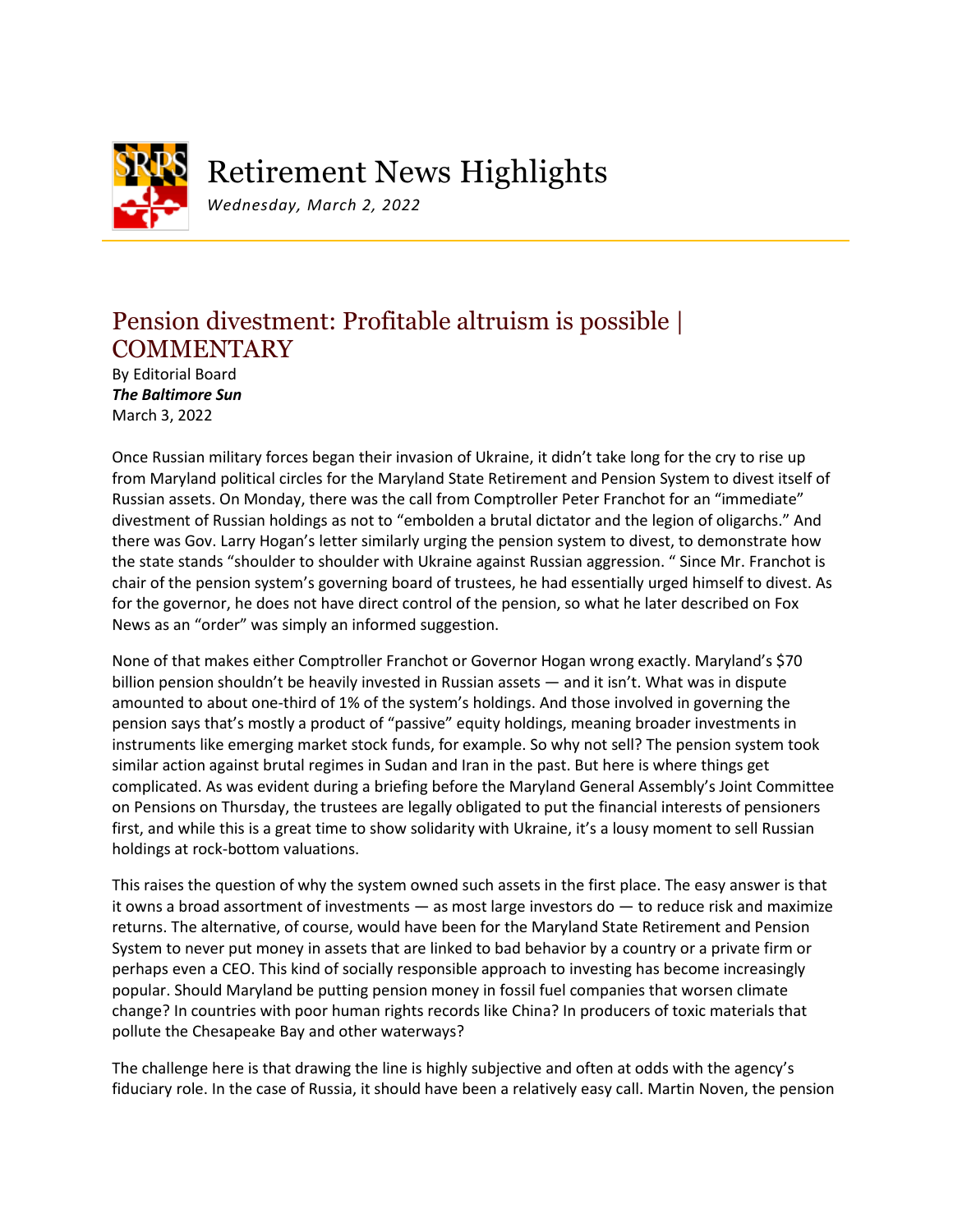

## Retirement News Highlights

*Wednesday, March 2, 2022*

## Pension divestment: Profitable altruism is possible | **COMMENTARY**

By Editorial Board *The Baltimore Sun* March 3, 2022

Once Russian military forces began their invasion of Ukraine, it didn't take long for the cry to rise up from Maryland political circles for the Maryland State Retirement and Pension System to divest itself of Russian assets. On Monday, there was the call from Comptroller Peter Franchot for an "immediate" divestment of Russian holdings as not to "embolden a brutal dictator and the legion of oligarchs." And there was Gov. Larry Hogan's letter similarly urging the pension system to divest, to demonstrate how the state stands "shoulder to shoulder with Ukraine against Russian aggression. " Since Mr. Franchot is chair of the pension system's governing board of trustees, he had essentially urged himself to divest. As for the governor, he does not have direct control of the pension, so what he later described on Fox News as an "order" was simply an informed suggestion.

None of that makes either Comptroller Franchot or Governor Hogan wrong exactly. Maryland's \$70 billion pension shouldn't be heavily invested in Russian assets — and it isn't. What was in dispute amounted to about one-third of 1% of the system's holdings. And those involved in governing the pension says that's mostly a product of "passive" equity holdings, meaning broader investments in instruments like emerging market stock funds, for example. So why not sell? The pension system took similar action against brutal regimes in Sudan and Iran in the past. But here is where things get complicated. As was evident during a briefing before the Maryland General Assembly's Joint Committee on Pensions on Thursday, the trustees are legally obligated to put the financial interests of pensioners first, and while this is a great time to show solidarity with Ukraine, it's a lousy moment to sell Russian holdings at rock-bottom valuations.

This raises the question of why the system owned such assets in the first place. The easy answer is that it owns a broad assortment of investments — as most large investors do — to reduce risk and maximize returns. The alternative, of course, would have been for the Maryland State Retirement and Pension System to never put money in assets that are linked to bad behavior by a country or a private firm or perhaps even a CEO. This kind of socially responsible approach to investing has become increasingly popular. Should Maryland be putting pension money in fossil fuel companies that worsen climate change? In countries with poor human rights records like China? In producers of toxic materials that pollute the Chesapeake Bay and other waterways?

The challenge here is that drawing the line is highly subjective and often at odds with the agency's fiduciary role. In the case of Russia, it should have been a relatively easy call. Martin Noven, the pension